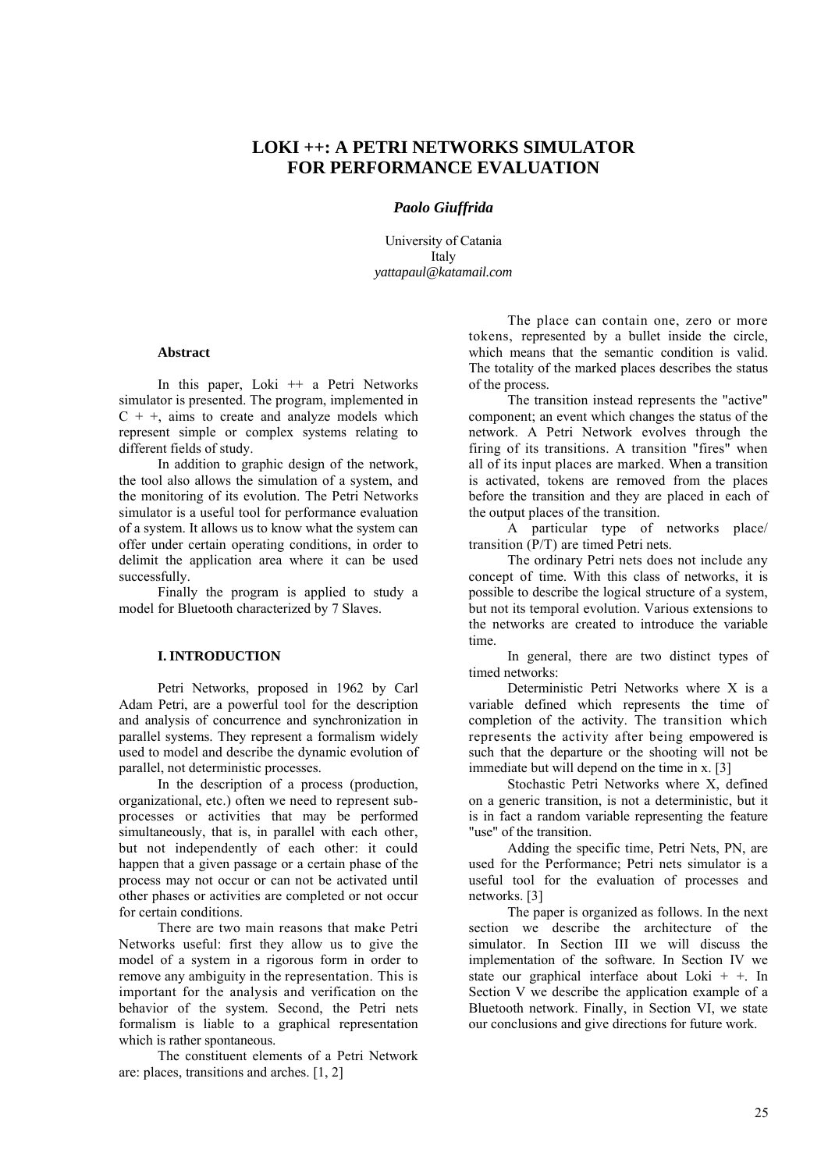# **LOKI ++: A PETRI NETWORKS SIMULATOR FOR PERFORMANCE EVALUATION**

# *Paolo Giuffrida*

University of Catania **Italy** *[yattapaul@katamail.com](mailto:yattapaul@katamail.com)*

# **Abstract**

In this paper, Loki ++ a Petri Networks simulator is presented. The program, implemented in  $C + +$ , aims to create and analyze models which represent simple or complex systems relating to different fields of study.

In addition to graphic design of the network, the tool also allows the simulation of a system, and the monitoring of its evolution. The Petri Networks simulator is a useful tool for performance evaluation of a system. It allows us to know what the system can offer under certain operating conditions, in order to delimit the application area where it can be used successfully.

Finally the program is applied to study a model for Bluetooth characterized by 7 Slaves.

# **I. INTRODUCTION**

Petri Networks, proposed in 1962 by Carl Adam Petri, are a powerful tool for the description and analysis of concurrence and synchronization in parallel systems. They represent a formalism widely used to model and describe the dynamic evolution of parallel, not deterministic processes.

In the description of a process (production, organizational, etc.) often we need to represent subprocesses or activities that may be performed simultaneously, that is, in parallel with each other, but not independently of each other: it could happen that a given passage or a certain phase of the process may not occur or can not be activated until other phases or activities are completed or not occur for certain conditions.

There are two main reasons that make Petri Networks useful: first they allow us to give the model of a system in a rigorous form in order to remove any ambiguity in the representation. This is important for the analysis and verification on the behavior of the system. Second, the Petri nets formalism is liable to a graphical representation which is rather spontaneous.

The constituent elements of a Petri Network are: places, transitions and arches. [1, 2]

The place can contain one, zero or more tokens, represented by a bullet inside the circle, which means that the semantic condition is valid. The totality of the marked places describes the status of the process.

The transition instead represents the "active" component; an event which changes the status of the network. A Petri Network evolves through the firing of its transitions. A transition "fires" when all of its input places are marked. When a transition is activated, tokens are removed from the places before the transition and they are placed in each of the output places of the transition.

A particular type of networks place/ transition (P/T) are timed Petri nets.

The ordinary Petri nets does not include any concept of time. With this class of networks, it is possible to describe the logical structure of a system, but not its temporal evolution. Various extensions to the networks are created to introduce the variable time.

In general, there are two distinct types of timed networks:

Deterministic Petri Networks where X is a variable defined which represents the time of completion of the activity. The transition which represents the activity after being empowered is such that the departure or the shooting will not be immediate but will depend on the time in x. [3]

Stochastic Petri Networks where X, defined on a generic transition, is not a deterministic, but it is in fact a random variable representing the feature "use" of the transition.

Adding the specific time, Petri Nets, PN, are used for the Performance; Petri nets simulator is a useful tool for the evaluation of processes and networks. [3]

The paper is organized as follows. In the next section we describe the architecture of the simulator. In Section III we will discuss the implementation of the software. In Section IV we state our graphical interface about Loki + +. In Section V we describe the application example of a Bluetooth network. Finally, in Section VI, we state our conclusions and give directions for future work.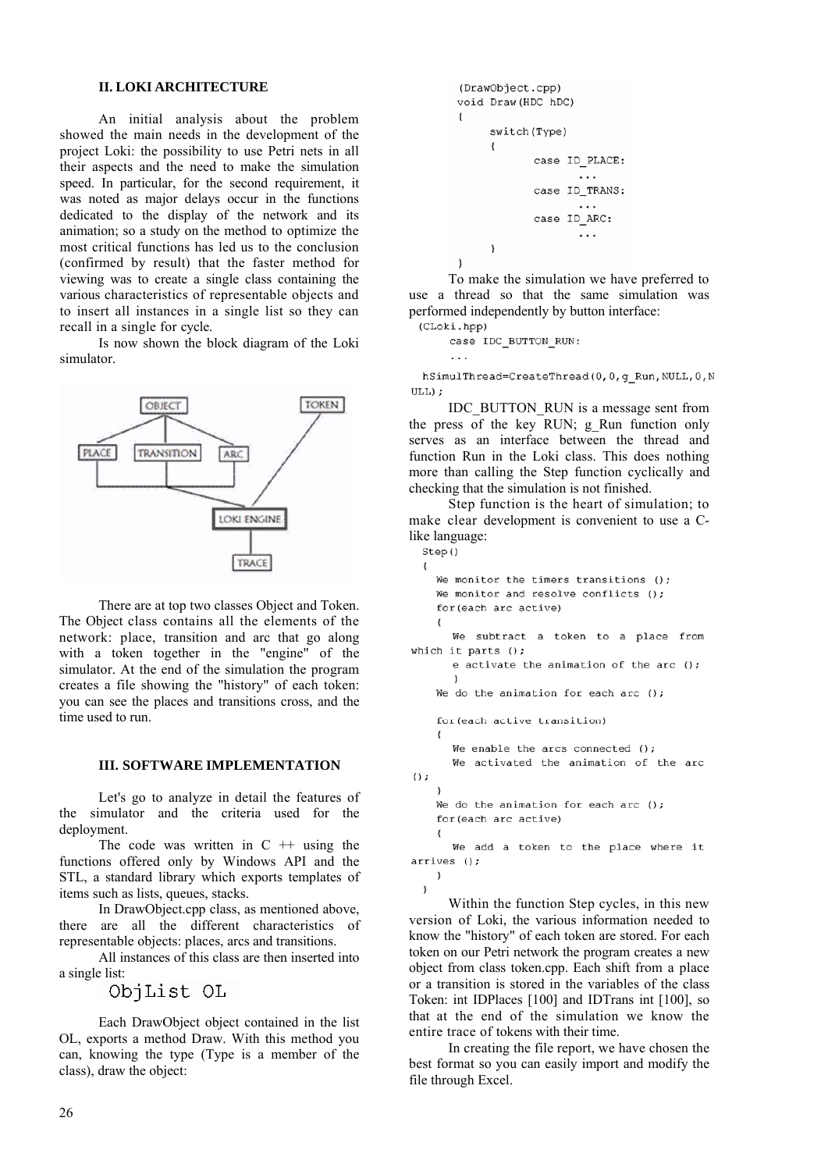# **II. LOKI ARCHITECTURE**

An initial analysis about the problem showed the main needs in the development of the project Loki: the possibility to use Petri nets in all their aspects and the need to make the simulation speed. In particular, for the second requirement, it was noted as major delays occur in the functions dedicated to the display of the network and its animation; so a study on the method to optimize the most critical functions has led us to the conclusion (confirmed by result) that the faster method for viewing was to create a single class containing the various characteristics of representable objects and to insert all instances in a single list so they can recall in a single for cycle.

Is now shown the block diagram of the Loki simulator.



There are at top two classes Object and Token. The Object class contains all the elements of the network: place, transition and arc that go along with a token together in the "engine" of the simulator. At the end of the simulation the program creates a file showing the "history" of each token: you can see the places and transitions cross, and the time used to run.

#### **III. SOFTWARE IMPLEMENTATION**

Let's go to analyze in detail the features of the simulator and the criteria used for the deployment.

The code was written in  $C +$  + using the functions offered only by Windows API and the STL, a standard library which exports templates of items such as lists, queues, stacks.

In DrawObject.cpp class, as mentioned above, there are all the different characteristics of representable objects: places, arcs and transitions.

All instances of this class are then inserted into a single list:

ObjList OL

Each DrawObject object contained in the list OL, exports a method Draw. With this method you can, knowing the type (Type is a member of the class), draw the object:

```
(DrawObject.cpp)
void Draw (HDC hDC)
\left\{ \right.switch (Type)
         \{case ID PLACE:
                                 \cdotscase ID_TRANS:
                                \cdot \cdot \cdotcase ID ARC:
                                 \cdot . .
         \overline{\mathbf{a}}\overline{\phantom{a}}
```
To make the simulation we have preferred to use a thread so that the same simulation was performed independently by button interface: (CLoki.hpp)

case IDC BUTTON RUN:  $\cdot$  .

hSimulThread=CreateThread(0,0,q Run, NULL,0,N ULL);

IDC\_BUTTON\_RUN is a message sent from the press of the key RUN; g Run function only serves as an interface between the thread and function Run in the Loki class. This does nothing more than calling the Step function cyclically and checking that the simulation is not finished.

Step function is the heart of simulation; to make clear development is convenient to use a Clike language:

```
Step()
  \overline{\mathbf{f}}We monitor the timers transitions ():
    We monitor and resolve conflicts ();
    for (each arc active)
       We subtract a token to a place from
which it parts ();
       e activate the animation of the arc ();
       <sup>1</sup>
    We do the animation for each arc ();
    for (each active transition)
    \left\{ \right.We enable the arcs connected ():
       We activated the animation of the arc
();
    \overline{\phantom{a}}We do the animation for each arc ();
    for (each arc active)
       We add a token to the place where it
arrives ();
    - }
```
 $\}$ Within the function Step cycles, in this new version of Loki, the various information needed to know the "history" of each token are stored. For each token on our Petri network the program creates a new object from class token.cpp. Each shift from a place or a transition is stored in the variables of the class Token: int IDPlaces [100] and IDTrans int [100], so that at the end of the simulation we know the entire trace of tokens with their time.

In creating the file report, we have chosen the best format so you can easily import and modify the file through Excel.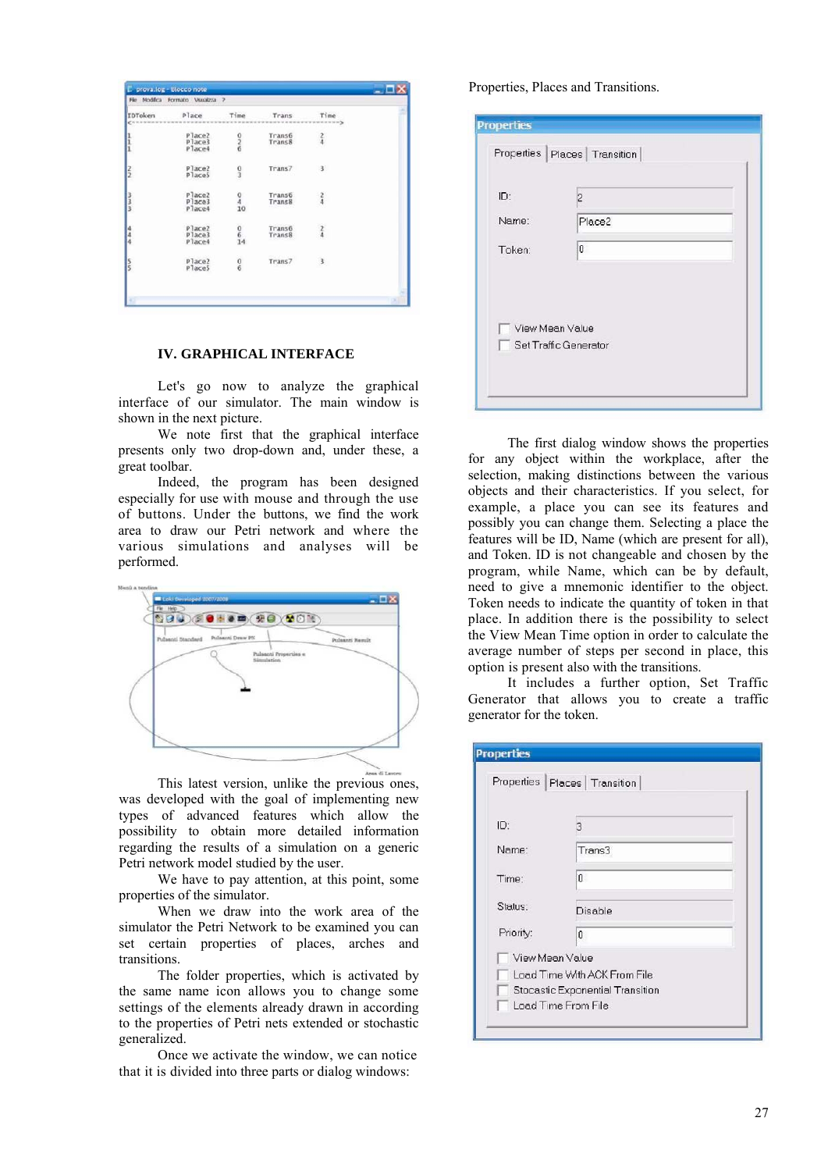| Place2 | where we will be accurated with a series of the                                |                                                                                                                                  | www.community                                         |
|--------|--------------------------------------------------------------------------------|----------------------------------------------------------------------------------------------------------------------------------|-------------------------------------------------------|
|        |                                                                                |                                                                                                                                  |                                                       |
| Place3 | $\frac{0}{6}$                                                                  | Trans6<br>Trans8                                                                                                                 | $\frac{2}{4}$                                         |
|        |                                                                                |                                                                                                                                  |                                                       |
|        |                                                                                |                                                                                                                                  |                                                       |
| Place2 |                                                                                | Trans7                                                                                                                           | 3                                                     |
|        |                                                                                |                                                                                                                                  |                                                       |
|        |                                                                                |                                                                                                                                  |                                                       |
|        |                                                                                |                                                                                                                                  | $\frac{2}{4}$                                         |
| Place4 |                                                                                |                                                                                                                                  |                                                       |
|        |                                                                                |                                                                                                                                  |                                                       |
|        |                                                                                |                                                                                                                                  | $\frac{2}{4}$                                         |
| Place4 |                                                                                |                                                                                                                                  |                                                       |
|        |                                                                                |                                                                                                                                  | 3                                                     |
| PlaceS |                                                                                |                                                                                                                                  |                                                       |
|        | Place4<br>Place <sub>5</sub><br>Place2<br>Place3<br>Place2<br>Place3<br>Place2 | $\frac{0}{3}$<br>$\begin{smallmatrix} 0\\4\\10 \end{smallmatrix}$<br>$\begin{matrix} 0 \\ 6 \\ 14 \end{matrix}$<br>$\frac{0}{6}$ | Trans6<br>Trans8<br><b>Trans6</b><br>Trans8<br>Trans7 |

### **IV. GRAPHICAL INTERFACE**

Let's go now to analyze the graphical interface of our simulator. The main window is shown in the next picture.

We note first that the graphical interface presents only two drop-down and, under these, a great toolbar.

Indeed, the program has been designed especially for use with mouse and through the use of buttons. Under the buttons, we find the work area to draw our Petri network and where the various simulations and analyses will be performed.



This latest version, unlike the previous ones, was developed with the goal of implementing new types of advanced features which allow the possibility to obtain more detailed information regarding the results of a simulation on a generic Petri network model studied by the user.

We have to pay attention, at this point, some properties of the simulator.

When we draw into the work area of the simulator the Petri Network to be examined you can set certain properties of places, arches and transitions.

The folder properties, which is activated by the same name icon allows you to change some settings of the elements already drawn in according to the properties of Petri nets extended or stochastic generalized.

Once we activate the window, we can notice that it is divided into three parts or dialog windows:

Properties, Places and Transitions.

| ID:    | $\overline{c}$ |  |
|--------|----------------|--|
| Name:  | Place2         |  |
| Token: | 0              |  |
|        |                |  |

The first dialog window shows the properties for any object within the workplace, after the selection, making distinctions between the various objects and their characteristics. If you select, for example, a place you can see its features and possibly you can change them. Selecting a place the features will be ID, Name (which are present for all), and Token. ID is not changeable and chosen by the program, while Name, which can be by default, need to give a mnemonic identifier to the object. Token needs to indicate the quantity of token in that place. In addition there is the possibility to select the View Mean Time option in order to calculate the average number of steps per second in place, this option is present also with the transitions.

It includes a further option, Set Traffic Generator that allows you to create a traffic generator for the token.

| <b>Properties</b> |                                  |  |
|-------------------|----------------------------------|--|
|                   | Properties Places Transition     |  |
| ID:               | R                                |  |
| Name:             | Trans3                           |  |
| Time:             | 0                                |  |
| Status:           | Disable                          |  |
| Priority:         | 0                                |  |
| View Mean Value   |                                  |  |
|                   | Load Time With ACK From File     |  |
|                   | Stocastic Exponential Transition |  |
|                   | Load Time From File              |  |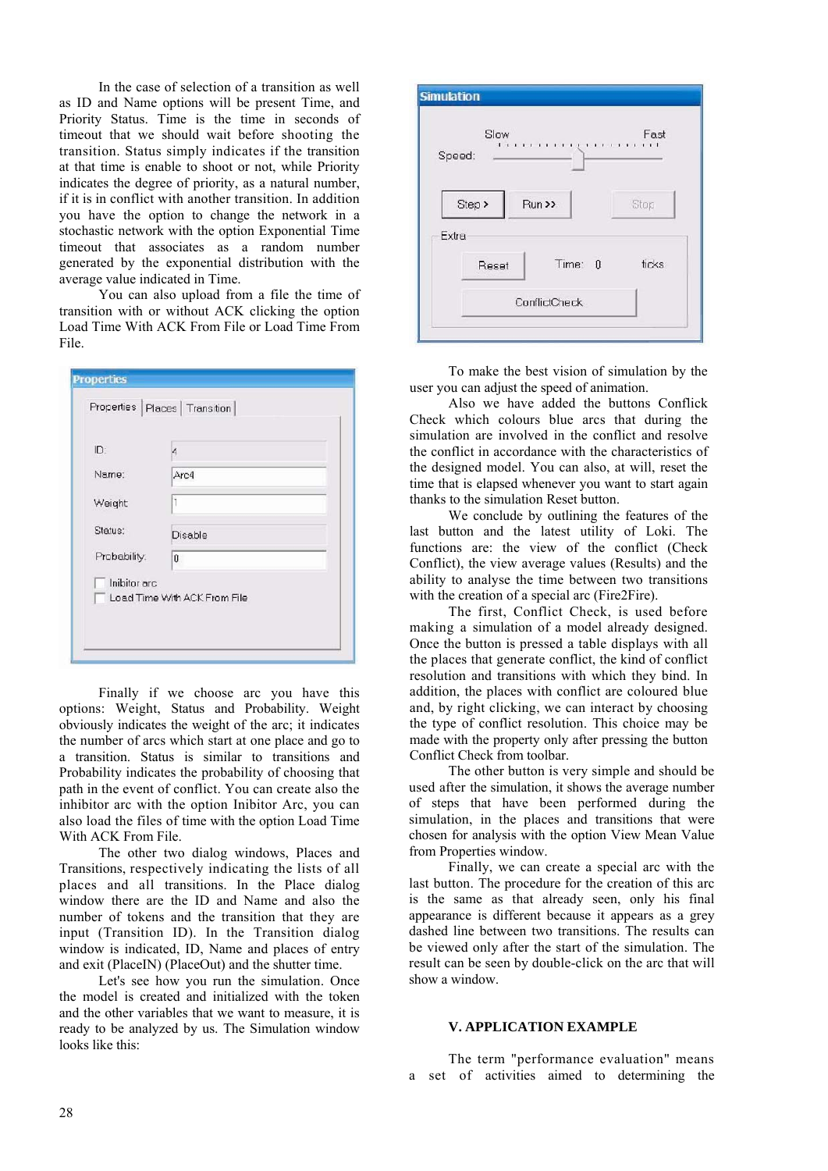In the case of selection of a transition as well as ID and Name options will be present Time, and Priority Status. Time is the time in seconds of timeout that we should wait before shooting the transition. Status simply indicates if the transition at that time is enable to shoot or not, while Priority indicates the degree of priority, as a natural number, if it is in conflict with another transition. In addition you have the option to change the network in a stochastic network with the option Exponential Time timeout that associates as a random number generated by the exponential distribution with the average value indicated in Time.

You can also upload from a file the time of transition with or without ACK clicking the option Load Time With ACK From File or Load Time From File.

| ID:          | $\overline{\mathcal{L}}$ |  |
|--------------|--------------------------|--|
| Name:        | Arc4                     |  |
| Weight       |                          |  |
| Status:      | Disable                  |  |
| Probability. | $\ddot{0}$               |  |

Finally if we choose arc you have this options: Weight, Status and Probability. Weight obviously indicates the weight of the arc; it indicates the number of arcs which start at one place and go to a transition. Status is similar to transitions and Probability indicates the probability of choosing that path in the event of conflict. You can create also the inhibitor arc with the option Inibitor Arc, you can also load the files of time with the option Load Time With ACK From File.

The other two dialog windows, Places and Transitions, respectively indicating the lists of all places and all transitions. In the Place dialog window there are the ID and Name and also the number of tokens and the transition that they are input (Transition ID). In the Transition dialog window is indicated, ID, Name and places of entry and exit (PlaceIN) (PlaceOut) and the shutter time.

Let's see how you run the simulation. Once the model is created and initialized with the token and the other variables that we want to measure, it is ready to be analyzed by us. The Simulation window looks like this:



To make the best vision of simulation by the user you can adjust the speed of animation.

Also we have added the buttons Conflick Check which colours blue arcs that during the simulation are involved in the conflict and resolve the conflict in accordance with the characteristics of the designed model. You can also, at will, reset the time that is elapsed whenever you want to start again thanks to the simulation Reset button.

We conclude by outlining the features of the last button and the latest utility of Loki. The functions are: the view of the conflict (Check Conflict), the view average values (Results) and the ability to analyse the time between two transitions with the creation of a special arc (Fire2Fire).

The first, Conflict Check, is used before making a simulation of a model already designed. Once the button is pressed a table displays with all the places that generate conflict, the kind of conflict resolution and transitions with which they bind. In addition, the places with conflict are coloured blue and, by right clicking, we can interact by choosing the type of conflict resolution. This choice may be made with the property only after pressing the button Conflict Check from toolbar.

The other button is very simple and should be used after the simulation, it shows the average number of steps that have been performed during the simulation, in the places and transitions that were chosen for analysis with the option View Mean Value from Properties window.

Finally, we can create a special arc with the last button. The procedure for the creation of this arc is the same as that already seen, only his final appearance is different because it appears as a grey dashed line between two transitions. The results can be viewed only after the start of the simulation. The result can be seen by double-click on the arc that will show a window.

# **V. APPLICATION EXAMPLE**

The term "performance evaluation" means a set of activities aimed to determining the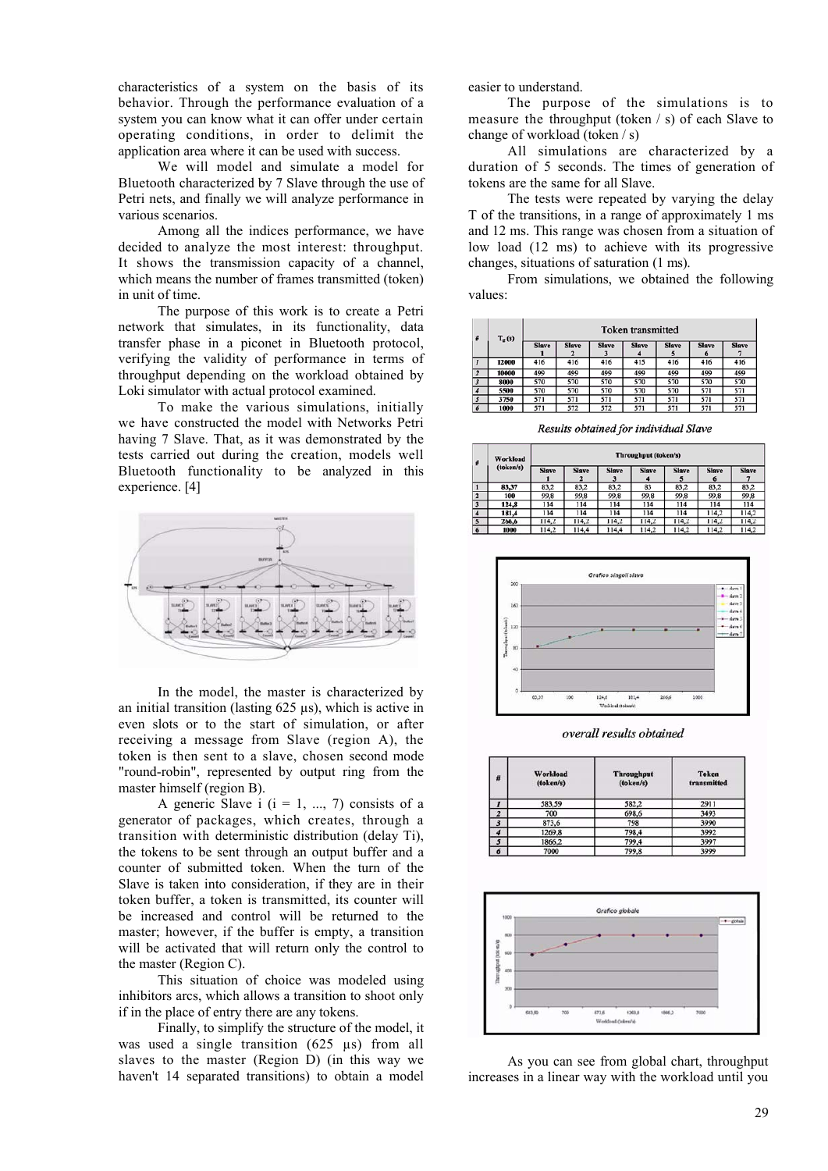characteristics of a system on the basis of its behavior. Through the performance evaluation of a system you can know what it can offer under certain operating conditions, in order to delimit the application area where it can be used with success.

We will model and simulate a model for Bluetooth characterized by 7 Slave through the use of Petri nets, and finally we will analyze performance in various scenarios.

Among all the indices performance, we have decided to analyze the most interest: throughput. It shows the transmission capacity of a channel, which means the number of frames transmitted (token) in unit of time.

The purpose of this work is to create a Petri network that simulates, in its functionality, data transfer phase in a piconet in Bluetooth protocol, verifying the validity of performance in terms of throughput depending on the workload obtained by Loki simulator with actual protocol examined.

To make the various simulations, initially we have constructed the model with Networks Petri having 7 Slave. That, as it was demonstrated by the tests carried out during the creation, models well Bluetooth functionality to be analyzed in this experience. [4]



In the model, the master is characterized by an initial transition (lasting 625 µs), which is active in even slots or to the start of simulation, or after receiving a message from Slave (region A), the token is then sent to a slave, chosen second mode "round-robin", represented by output ring from the master himself (region B).

A generic Slave i  $(i = 1, ..., 7)$  consists of a generator of packages, which creates, through a transition with deterministic distribution (delay Ti), the tokens to be sent through an output buffer and a counter of submitted token. When the turn of the Slave is taken into consideration, if they are in their token buffer, a token is transmitted, its counter will be increased and control will be returned to the master; however, if the buffer is empty, a transition will be activated that will return only the control to the master (Region C).

This situation of choice was modeled using inhibitors arcs, which allows a transition to shoot only if in the place of entry there are any tokens.

Finally, to simplify the structure of the model, it was used a single transition (625 µs) from all slaves to the master (Region D) (in this way we haven't 14 separated transitions) to obtain a model easier to understand.

The purpose of the simulations is to measure the throughput (token / s) of each Slave to change of workload (token / s)

All simulations are characterized by a duration of 5 seconds. The times of generation of tokens are the same for all Slave.

The tests were repeated by varying the delay T of the transitions, in a range of approximately 1 ms and 12 ms. This range was chosen from a situation of low load (12 ms) to achieve with its progressive changes, situations of saturation (1 ms).

From simulations, we obtained the following values:

| #                       | $T_{g}(s)$ |              |              | <b>Token</b> transmitted |              |              |                   |              |
|-------------------------|------------|--------------|--------------|--------------------------|--------------|--------------|-------------------|--------------|
|                         |            | <b>Slave</b> | <b>Slave</b> | <b>Slave</b>             | <b>Slave</b> | <b>Slave</b> | <b>Slave</b><br>6 | <b>Slave</b> |
|                         | 12000      | 416          | 416          | 416                      | 415          | 416          | 416               | 416          |
| $\overline{z}$          | 10000      | 499          | 499          | 499                      | 499          | 499          | 499               | 499          |
| $\overline{\mathbf{3}}$ | 8000       | 570          | 570          | 570                      | 570          | 570          | 570               | 570          |
|                         | 5500       | 570          | 570          | 570                      | 570          | 570          | 571               | 571          |
| 5                       | 3750       | 571          | 571          | 571                      | 571          | 571          | 571               | 571          |
| 6                       | 1000       | 571          | 572          | 572                      | 571          | 571          | 571               | 571          |

Results obtained for individual Slave

| #                       | <b>Workload</b> | Throughput (token/s) |              |                   |              |              |              |              |
|-------------------------|-----------------|----------------------|--------------|-------------------|--------------|--------------|--------------|--------------|
|                         | (token/s)       | <b>Slave</b>         | <b>Slave</b> | <b>Slave</b><br>3 | <b>Slave</b> | <b>Slave</b> | <b>Slave</b> | <b>Slave</b> |
|                         | 83,37           | 83,2                 | 83,2         | 83,2              | 83           | 83,2         | 83,2         | 83,2         |
| $\overline{\mathbf{z}}$ | 100             | 99,8                 | 99,8         | 99,8              | 99,8         | 99,8         | 99,8         | 99,8         |
| 3                       | 124,8           | 114                  | 114          | 114               | 114          | 114          | 114          | 114          |
|                         | 181,4           | 114                  | 114          | 114               | 114          | 114          | 114.2        | 114,2        |
| $\overline{\mathbf{5}}$ | 266,6           | 114.2                | 114,2        | 114,2             | 114,2        | 114,2        | 114,2        | 114,2        |
| 6                       | 1000            | 114,2                | 114,4        | 114,4             | 114,2        | 114,2        | 114,2        | 114,2        |



overall results obtained

| #                       | <b>Workload</b><br>(token/s) | <b>Throughput</b><br>(token/s) | <b>Token</b><br>transmitted |
|-------------------------|------------------------------|--------------------------------|-----------------------------|
| $\mathbf{I}$            | 583,59                       | 582,2                          | 2911                        |
| $\overline{z}$          | 700                          | 698,6                          | 3493                        |
| $\overline{\mathbf{3}}$ | 873,6                        | 798                            | 3990                        |
| 4                       | 1269,8                       | 798,4                          | 3992                        |
| 5                       | 1866,2                       | 799,4                          | 3997                        |
| 6                       | 7000                         | 799,8                          | 3999                        |



As you can see from global chart, throughput increases in a linear way with the workload until you